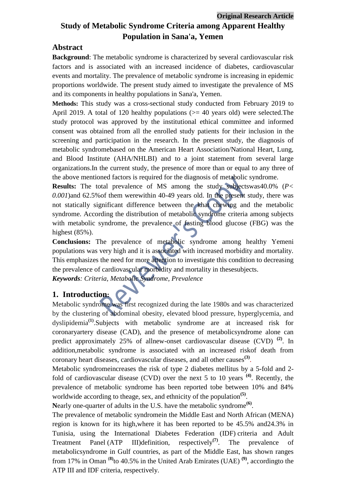# **Study of Metabolic Syndrome Criteria among Apparent Healthy Population in Sana'a, Yemen**

### **Abstract**

**Background**: The metabolic syndrome is characterized by several cardiovascular risk factors and is associated with an increased incidence of diabetes, cardiovascular events and mortality. The prevalence of metabolic syndrome is increasing in epidemic proportions worldwide. The present study aimed to investigate the prevalence of MS and its components in healthy populations in Sana'a, Yemen.

**Methods:** This study was a cross-sectional study conducted from February 2019 to April 2019. A total of 120 healthy populations ( $> = 40$  years old) were selected. The study protocol was approved by the institutional ethical committee and informed consent was obtained from all the enrolled study patients for their inclusion in the screening and participation in the research. In the present study, the diagnosis of metabolic syndromebased on the American Heart Association/National Heart, Lung, and Blood Institute (AHA/NHLBI) and to a joint statement from several large organizations.In the current study, the presence of more than or equal to any three of the above mentioned factors is required for the diagnosis of metabolic syndrome.

**Results:** The total prevalence of MS among the study subjectswas40.0% (*P< 0.001*)and 62.5%of them werewithin 40-49 years old. In the present study, there was not statically significant difference between the khat chewing and the metabolic syndrome. According the distribution of metabolic syndrome criteria among subjects with metabolic syndrome, the prevalence of fasting blood glucose (FBG) was the highest (85%).

**Conclusions:** The prevalence of metabolic syndrome among healthy Yemeni populations was very high and it is associated with increased morbidity and mortality. This emphasizes the need for more attention to investigate this condition to decreasing the prevalence of cardiovascular morbidity and mortality in thesesubjects.

*Keywords: Criteria, Metabolic Syndrome, Prevalence* 

## **1. Introduction:**

Metabolic syndrome was first recognized during the late 1980s and was characterized by the clustering of abdominal obesity, elevated blood pressure, hyperglycemia, and dyslipidemia**(1)** .Subjects with metabolic syndrome are at increased risk for coronaryartery disease (CAD), and the presence of metabolicsyndrome alone can predict approximately 25% of allnew-onset cardiovascular disease (CVD) **(2)** . In addition,metabolic syndrome is associated with an increased riskof death from coronary heart diseases, cardiovascular diseases, and all other causes**(3)** .

Metabolic syndromeincreases the risk of type 2 diabetes mellitus by a 5-fold and 2 fold of cardiovascular disease (CVD) over the next 5 to 10 years **(4)** . Recently, the prevalence of metabolic syndrome has been reported tobe between 10% and 84% worldwide according to theage, sex, and ethnicity of the population<sup>(5)</sup>.

Nearly one-quarter of adults in the U.S. have the metabolic syndrome<sup>(6)</sup>.

The prevalence of metabolic syndromein the Middle East and North African (MENA) region is known for its high,where it has been reported to be 45.5% and24.3% in Tunisia, using the International Diabetes Federation (IDF) criteria and Adult Treatment Panel (ATP III)definition, respectively**(7)** . The prevalence of metabolicsyndrome in Gulf countries, as part of the Middle East, has shown ranges from 17% in Oman <sup>(8)</sup>to 40.5% in the United Arab Emirates (UAE)<sup>(9)</sup>, according to the ATP III and IDF criteria, respectively.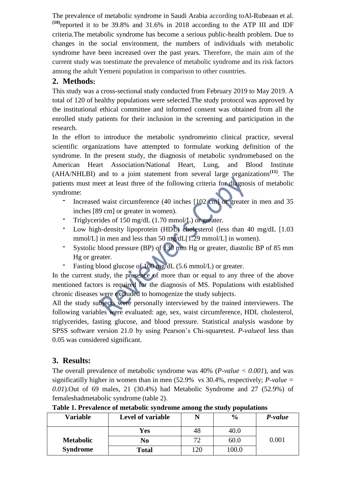The prevalence of metabolic syndrome in Saudi Arabia according toAl-Rubeaan et al. **(10)** reported it to be 39.8% and 31.6% in 2018 according to the ATP III and IDF criteria.The metabolic syndrome has become a serious public-health problem. Due to changes in the social environment, the numbers of individuals with metabolic syndrome have been increased over the past years. Therefore, the main aim of the current study was toestimate the prevalence of metabolic syndrome and its risk factors among the adult Yemeni population in comparison to other countries.

## **2. Methods:**

This study was a cross-sectional study conducted from February 2019 to May 2019. A total of 120 of healthy populations were selected.The study protocol was approved by the institutional ethical committee and informed consent was obtained from all the enrolled study patients for their inclusion in the screening and participation in the research.

In the effort to introduce the metabolic syndromeinto clinical practice, several scientific organizations have attempted to formulate working definition of the syndrome. In the present study, the diagnosis of metabolic syndromebased on the American Heart Association/National Heart, Lung, and Blood Institute (AHA/NHLBI) and to a joint statement from several large organizations**(11)**. The patients must meet at least three of the following criteria for diagnosis of metabolic syndrome:

- Increased waist circumference (40 inches [102 cm] or greater in men and 35 inches [89 cm] or greater in women).
- ־ Triglycerides of 150 mg/dL (1.70 mmol/L) or greater.
- Low high-density lipoprotein (HDL) cholesterol (less than 40 mg/dL  $[1.03]$ mmol/L] in men and less than 50 mg/dL[1.29 mmol/L] in women).
- Systolic blood pressure (BP) of 130 mm Hg or greater, diastolic BP of 85 mm Hg or greater.
- ־ Fasting blood glucose of 100 mg/dL (5.6 mmol/L) or greater.

In the current study, the presence of more than or equal to any three of the above mentioned factors is required for the diagnosis of MS. Populations with established chronic diseases were excluded to homogenize the study subjects.

All the study subjects were personally interviewed by the trained interviewers. The following variables were evaluated: age, sex, waist circumference, HDL cholesterol, triglycerides, fasting glucose, and blood pressure. Statistical analysis wasdone by SPSS software version 21.0 by using Pearson's Chi-squaretest. *P-value*of less than 0.05 was considered significant.

## **3. Results:**

The overall prevalence of metabolic syndrome was 40% (*P-value < 0.001*), and was significatilly higher in women than in men (52.9% vs 30.4%, respectively; *P-value = 0.01*).Out of 69 males, 21 (30.4%) had Metabolic Syndrome and 27 (52.9%) of femaleshadmetabolic syndrome (table 2).

| <b>Variable</b>  | Level of variable | N   | $\frac{6}{9}$ | P-value |
|------------------|-------------------|-----|---------------|---------|
|                  | Yes               | 48  | 40.0          |         |
| <b>Metabolic</b> | N <sub>0</sub>    | 72  | 60.0          | 0.001   |
| <b>Syndrome</b>  | <b>Total</b>      | 120 | 100.0         |         |

**Table 1. Prevalence of metabolic syndrome among the study populations**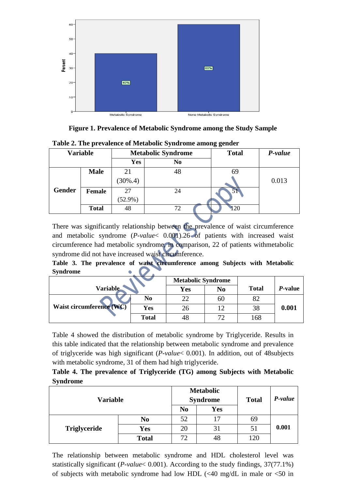

**Figure 1. Prevalence of Metabolic Syndrome among the Study Sample**

| <b>Variable</b> |              | <b>Metabolic Syndrome</b> |                | <b>Total</b> | P-value |
|-----------------|--------------|---------------------------|----------------|--------------|---------|
|                 |              | Yes                       | N <sub>0</sub> |              |         |
|                 | <b>Male</b>  | 21                        | 48             | 69           |         |
|                 |              | $(30\%, 4)$               |                |              | 0.013   |
| <b>Gender</b>   | Female       | 27                        | 24             |              |         |
|                 |              | $(52.9\%)$                |                |              |         |
|                 | <b>Total</b> | 48                        | 72             | .20          |         |

**Table 2. The prevalence of Metabolic Syndrome among gender**

There was significantly relationship between the prevalence of waist circumference and metabolic syndrome (*P-value*< 0.001).26 of patients with increased waist circumference had metabolic syndrome, in comparison, 22 of patients withmetabolic syndrome did not have increased waist circumference.

**Table 3. The prevalence of waist circumference among Subjects with Metabolic**   $\bullet$   $\bullet$ . **Syndrome** 

|                          |                | <b>Metabolic Syndrome</b> |                |              |                 |
|--------------------------|----------------|---------------------------|----------------|--------------|-----------------|
| <b>Variable</b>          |                | Yes                       | N <sub>0</sub> | <b>Total</b> | <i>P</i> -value |
|                          | N <sub>0</sub> | 22                        | 60             |              |                 |
| Waist circumference (WC) | Yes            | 26                        | 12             | 38           | 0.001           |
|                          | <b>Total</b>   | 48                        | 70             | 168          |                 |

Table 4 showed the distribution of metabolic syndrome by Triglyceride. Results in this table indicated that the relationship between metabolic syndrome and prevalence of triglyceride was high significant (*P-value*< 0.001). In addition, out of 48subjects with metabolic syndrome, 31 of them had high triglyceride.

|                 | Table 4. The prevalence of Triglyceride (TG) among Subjects with Metabolic |  |  |  |
|-----------------|----------------------------------------------------------------------------|--|--|--|
| <b>Syndrome</b> |                                                                            |  |  |  |

| <b>Variable</b>     |                |                | <b>Metabolic</b><br><b>Syndrome</b> | <b>Total</b> | P-value |
|---------------------|----------------|----------------|-------------------------------------|--------------|---------|
|                     |                | N <sub>0</sub> | <b>Yes</b>                          |              |         |
|                     | N <sub>0</sub> | 52             | 17                                  | 69           |         |
| <b>Triglyceride</b> | Yes            | 20             | 31                                  | 51           | 0.001   |
|                     | <b>Total</b>   | 72             | 48                                  | 120          |         |

The relationship between metabolic syndrome and HDL cholesterol level was statistically significant (*P-value*< 0.001). According to the study findings, 37(77.1%) of subjects with metabolic syndrome had low HDL  $\ll 40$  mg/dL in male or  $\ll 50$  in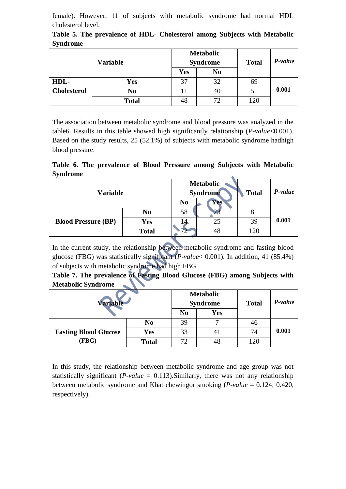female). However, 11 of subjects with metabolic syndrome had normal HDL cholesterol level.

| Variable           |                |            | <b>Metabolic</b><br><b>Syndrome</b> | <b>Total</b> | P-value |
|--------------------|----------------|------------|-------------------------------------|--------------|---------|
|                    |                | <b>Yes</b> | N <sub>0</sub>                      |              |         |
| HDL-               | Yes            | 37         | 32                                  | 69           |         |
| <b>Cholesterol</b> | N <sub>0</sub> |            | 40                                  | 51           | 0.001   |
|                    | <b>Total</b>   | 48         | 72                                  | 120          |         |

**Table 5. The prevalence of HDL- Cholesterol among Subjects with Metabolic Syndrome**

The association between metabolic syndrome and blood pressure was analyzed in the table6. Results in this table showed high significantly relationship (*P-value*<0.001). Based on the study results, 25 (52.1%) of subjects with metabolic syndrome hadhigh blood pressure.

**Table 6. The prevalence of Blood Pressure among Subjects with Metabolic Syndrome**  $\Delta$ 

| Variable                   |                |                | <b>Metabolic</b><br><b>Syndrome</b> | <b>Total</b> | P-value |
|----------------------------|----------------|----------------|-------------------------------------|--------------|---------|
|                            |                | N <sub>0</sub> | Yes <sup>®</sup>                    |              |         |
|                            | N <sub>0</sub> | 58             |                                     | 81           |         |
| <b>Blood Pressure (BP)</b> | Yes            |                | 25                                  | 39           | 0.001   |
|                            | <b>Total</b>   | 77             | 48                                  | l 20         |         |

In the current study, the relationship between metabolic syndrome and fasting blood glucose (FBG) was statistically significant (*P-value*< 0.001). In addition, 41 (85.4%) of subjects with metabolic syndrome had high FBG.

| Table 7. The prevalence of Fasting Blood Glucose (FBG) among Subjects with |  |  |  |  |
|----------------------------------------------------------------------------|--|--|--|--|
| Metabolic Syndrome                                                         |  |  |  |  |

| <b>Variable</b>              |                | <b>Metabolic</b><br><b>Syndrome</b> |            | <b>Total</b> | P-value |
|------------------------------|----------------|-------------------------------------|------------|--------------|---------|
|                              |                | N <sub>0</sub>                      | <b>Yes</b> |              |         |
|                              | N <sub>0</sub> | 39                                  |            | 40           |         |
| <b>Fasting Blood Glucose</b> | <b>Yes</b>     | 33                                  | 41         | 74           | 0.001   |
| (FBG)                        | <b>Total</b>   | 72                                  | 48         | 120          |         |

In this study, the relationship between metabolic syndrome and age group was not statistically significant (*P-value* = 0.113).Similarly, there was not any relationship between metabolic syndrome and Khat chewingor smoking (*P-value* = 0.124; 0.420, respectively).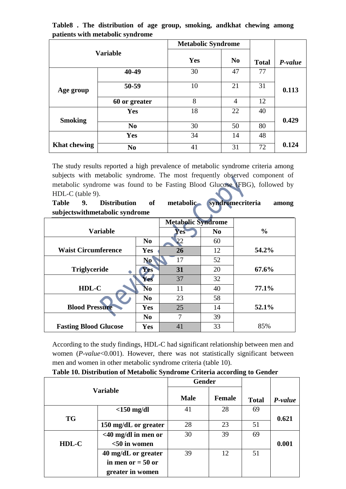|                     |                | <b>Metabolic Syndrome</b> |                |              |         |
|---------------------|----------------|---------------------------|----------------|--------------|---------|
| <b>Variable</b>     |                | Yes                       | N <sub>0</sub> | <b>Total</b> | P-value |
|                     | 40-49          | 30                        | 47             | 77           |         |
| Age group           | 50-59          | 10                        | 21             | 31           | 0.113   |
|                     | 60 or greater  | 8                         | 4              | 12           |         |
|                     | Yes            | 18                        | 22             | 40           |         |
| <b>Smoking</b>      |                |                           |                |              | 0.429   |
|                     | N <sub>0</sub> | 30                        | 50             | 80           |         |
|                     | Yes            | 34                        | 14             | 48           |         |
| <b>Khat chewing</b> | N <sub>0</sub> | 41                        | 31             | 72           | 0.124   |

**Table8 . The distribution of age group, smoking, andkhat chewing among patients with metabolic syndrome**

The study results reported a high prevalence of metabolic syndrome criteria among subjects with metabolic syndrome. The most frequently observed component of metabolic syndrome was found to be Fasting Blood Glucose (FBG), followed by HDL-C (table 9).

**Table 9. Distribution of metabolic syndromecriteria among subjectswithmetabolic syndrome** 

|                              |                | <b>Metabolic Syndrome</b> |                |               |
|------------------------------|----------------|---------------------------|----------------|---------------|
| <b>Variable</b>              |                | Yes                       | N <sub>0</sub> | $\frac{0}{0}$ |
|                              | N <sub>0</sub> | 22                        | 60             |               |
| <b>Waist Circumference</b>   | <b>Yes</b>     | 26                        | 12             | 54.2%         |
|                              | N <sub>0</sub> | 17                        | 52             |               |
| <b>Triglyceride</b>          | <b>Yes</b>     | 31                        | 20             | 67.6%         |
|                              | Yes            | 37                        | 32             |               |
| HDL-C                        | No             | 11                        | 40             | 77.1%         |
|                              | N <sub>0</sub> | 23                        | 58             |               |
| <b>Blood Pressure</b>        | Yes            | 25                        | 14             | 52.1%         |
|                              | N <sub>0</sub> | 7                         | 39             |               |
| <b>Fasting Blood Glucose</b> | <b>Yes</b>     | 41                        | 33             | 85%           |

According to the study findings, HDL-C had significant relationship between men and women (*P-value*<0.001). However, there was not statistically significant between men and women in other metabolic syndrome criteria (table 10).

|  |  | Table 10. Distribution of Metabolic Syndrome Criteria according to Gender |
|--|--|---------------------------------------------------------------------------|
|--|--|---------------------------------------------------------------------------|

| <b>Variable</b> |                        | <b>Gender</b> |               |              |         |
|-----------------|------------------------|---------------|---------------|--------------|---------|
|                 |                        | <b>Male</b>   | <b>Female</b> | <b>Total</b> | P-value |
|                 | $<$ 150 mg/dl          | 41            | 28            | 69           |         |
| <b>TG</b>       |                        |               |               |              | 0.621   |
|                 | 150 mg/dL or greater   | 28            | 23            | 51           |         |
|                 | $<$ 40 mg/dl in men or | 30            | 39            | 69           |         |
| $HDL-C$         | $<$ 50 in women        |               |               |              | 0.001   |
|                 | 40 mg/dL or greater    | 39            | 12            | 51           |         |
|                 | in men or $= 50$ or    |               |               |              |         |
|                 | greater in women       |               |               |              |         |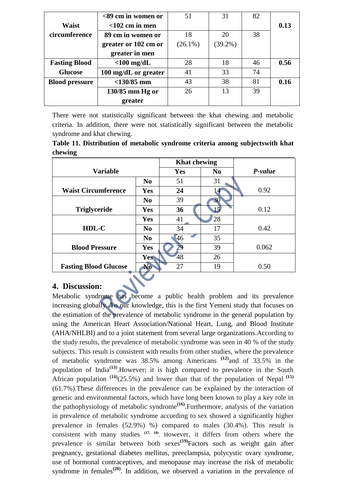|                       | $<$ 89 cm in women or | 51         | 31         | 82 |      |
|-----------------------|-----------------------|------------|------------|----|------|
| Waist                 | $<$ 102 cm in men     |            |            |    | 0.13 |
| circumference         | 89 cm in women or     | 18         | 20         | 38 |      |
|                       | greater or 102 cm or  | $(26.1\%)$ | $(39.2\%)$ |    |      |
|                       | greater in men        |            |            |    |      |
| <b>Fasting Blood</b>  | $<$ 100 mg/dL         | 28         | 18         | 46 | 0.56 |
| <b>Glucose</b>        | 100 mg/dL or greater  | 41         | 33         | 74 |      |
| <b>Blood pressure</b> | $<$ 130/85 mm         | 43         | 38         | 81 | 0.16 |
|                       | 130/85 mm Hg or       | 26         | 13         | 39 |      |
|                       | greater               |            |            |    |      |

There were not statistically significant between the khat chewing and metabolic criteria. In addition, there were not statistically significant between the metabolic syndrome and khat chewing.

|         |  |  | Table 11. Distribution of metabolic syndrome criteria among subjectswith khat |  |
|---------|--|--|-------------------------------------------------------------------------------|--|
| chewing |  |  |                                                                               |  |

|                              |                | <b>Khat chewing</b> |                |         |
|------------------------------|----------------|---------------------|----------------|---------|
| <b>Variable</b>              |                | <b>Yes</b>          | N <sub>0</sub> | P-value |
|                              | N <sub>0</sub> | 51                  | 31             |         |
| <b>Waist Circumference</b>   | <b>Yes</b>     | 24                  |                | 0.92    |
|                              | N <sub>0</sub> | 39                  | 30             |         |
| <b>Triglyceride</b>          | <b>Yes</b>     | 36                  | 15             | 0.12    |
|                              | <b>Yes</b>     | 41                  | 28             |         |
| HDL-C                        | N <sub>0</sub> | 34                  | 17             | 0.42    |
|                              | N <sub>0</sub> | 46                  | 35             |         |
| <b>Blood Pressure</b>        | <b>Yes</b>     | 29                  | 39             | 0.062   |
|                              | <b>Yes</b>     | 48                  | 26             |         |
| <b>Fasting Blood Glucose</b> | No             | 27                  | 19             | 0.50    |

### **4. Discussion:**

Metabolic syndrome has become a public health problem and its prevalence increasing globally. To our knowledge, this is the first Yemeni study that focuses on the estimation of the prevalence of metabolic syndrome in the general population by using the American Heart Association/National Heart, Lung, and Blood Institute (AHA/NHLBI) and to a joint statement from several large organizations.According to the study results, the prevalence of metabolic syndrome was seen in 40 % of the study subjects. This result is consistent with results from other studies, where the prevalence of metabolic syndrome was 38.5% among Americans **(12)** and of 33.5% in the population of India<sup>(13)</sup>. However; it is high compared to prevalence in the South African population  $(14)(25.5%)$  and lower than that of the population of Nepal  $(15)$ (61.7%).These differences in the prevalence can be explained by the interaction of genetic and environmental factors, which have long been known to play a key role in the pathophysiology of metabolic syndrome**(16)** .Furthermore, analysis of the variation in prevalence of metabolic syndrome according to sex showed a significantly higher prevalence in females (52.9%) %) compared to males (30.4%). This result is consistent with many studies **(17, 18)** . However, it differs from others where the prevalence is similar between both sexes**(19)** Factors such as weight gain after pregnancy, gestational diabetes mellitus, preeclampsia, polycystic ovary syndrome, use of hormonal contraceptives, and menopause may increase the risk of metabolic syndrome in females<sup>(20)</sup>. In addition, we observed a variation in the prevalence of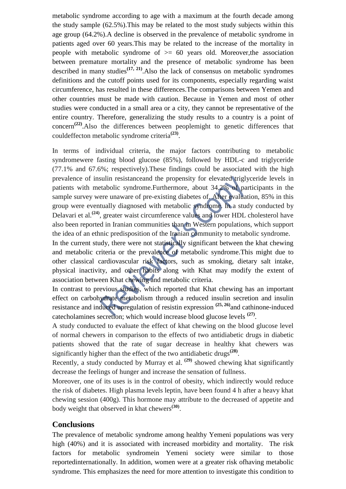metabolic syndrome according to age with a maximum at the fourth decade among the study sample (62.5%).This may be related to the most study subjects within this age group (64.2%).A decline is observed in the prevalence of metabolic syndrome in patients aged over 60 years.This may be related to the increase of the mortality in people with metabolic syndrome of  $\geq$  60 years old. Moreover, the association between premature mortality and the presence of metabolic syndrome has been described in many studies<sup> $(17, 21)$ </sup>. Also the lack of consensus on metabolic syndromes definitions and the cutoff points used for its components, especially regarding waist circumference, has resulted in these differences.The comparisons between Yemen and other countries must be made with caution. Because in Yemen and most of other studies were conducted in a small area or a city, they cannot be representative of the entire country. Therefore, generalizing the study results to a country is a point of concern**(22)** .Also the differences between peoplemight to genetic differences that couldeffecton metabolic syndrome criteria**(23)** .

In terms of individual criteria, the major factors contributing to metabolic syndromewere fasting blood glucose (85%), followed by HDL-c and triglyceride (77.1% and 67.6%; respectively).These findings could be associated with the high prevalence of insulin resistanceand the propensity for elevated triglyceride levels in patients with metabolic syndrome.Furthermore, about 34.2% of participants in the sample survey were unaware of pre-existing diabetes of. After evaluation, 85% in this group were eventually diagnosed with metabolic syndrome. In a study conducted by Delavari et al.**(24)**, greater waist circumference values and lower HDL cholesterol have also been reported in Iranian communities than in Western populations, which support the idea of an ethnic predisposition of the Iranian community to metabolic syndrome.

In the current study, there were not statistically significant between the khat chewing and metabolic criteria or the prevalence of metabolic syndrome.This might due to other classical cardiovascular risk factors, such as smoking, dietary salt intake, physical inactivity, and other habits along with Khat may modify the extent of association between Khat chewing and metabolic criteria.

In contrast to previous studies, which reported that Khat chewing has an important effect on carbohydrate metabolism through a reduced insulin secretion and insulin resistance and induced upregulation of resistin expression **(25, 26)** and cathinone-induced catecholamines secretion; which would increase blood glucose levels **(27)** .

A study conducted to evaluate the effect of khat chewing on the blood glucose level of normal chewers in comparison to the effects of two antidiabetic drugs in diabetic patients showed that the rate of sugar decrease in healthy khat chewers was significantly higher than the effect of the two antidiabetic drugs**(28)** .

Recently, a study conducted by Murray et al. **(29)** showed chewing khat significantly decrease the feelings of hunger and increase the sensation of fullness.

Moreover, one of its uses is in the control of obesity, which indirectly would reduce the risk of diabetes. High plasma levels leptin, have been found 4 h after a heavy khat chewing session (400g). This hormone may attribute to the decreased of appetite and body weight that observed in khat chewers**(30)** .

#### **Conclusions**

The prevalence of metabolic syndrome among healthy Yemeni populations was very high (40%) and it is associated with increased morbidity and mortality. The risk factors for metabolic syndromein Yemeni society were similar to those reportedinternationally. In addition, women were at a greater risk ofhaving metabolic syndrome. This emphasizes the need for more attention to investigate this condition to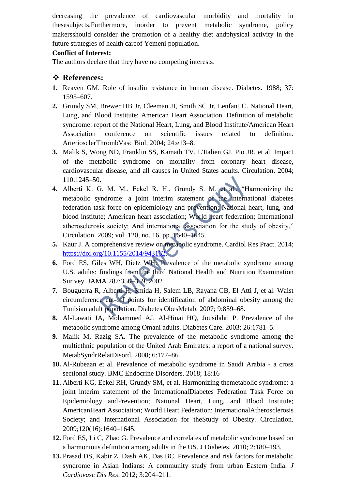decreasing the prevalence of cardiovascular morbidity and mortality in thesesubjects.Furthermore, inorder to prevent metabolic syndrome, policy makersshould consider the promotion of a healthy diet andphysical activity in the future strategies of health careof Yemeni population.

#### **Conflict of Interest:**

The authors declare that they have no competing interests.

#### **References:**

- **1.** Reaven GM. Role of insulin resistance in human disease. Diabetes. 1988; 37: 1595–607.
- **2.** Grundy SM, Brewer HB Jr, Cleeman JI, Smith SC Jr, Lenfant C. National Heart, Lung, and Blood Institute; American Heart Association. Definition of metabolic syndrome: report of the National Heart, Lung, and Blood Institute/American Heart Association conference on scientific issues related to definition. ArteriosclerThrombVasc Biol. 2004; 24:e13–8.
- **3.** Malik S, Wong ND, Franklin SS, Kamath TV, L'Italien GJ, Pio JR, et al. Impact of the metabolic syndrome on mortality from coronary heart disease, cardiovascular disease, and all causes in United States adults. Circulation. 2004; 110:1245–50.
- **4.** Alberti K. G. M. M., Eckel R. H., Grundy S. M. et al., "Harmonizing the metabolic syndrome: a joint interim statement of the international diabetes federation task force on epidemiology and prevention; National heart, lung, and blood institute; American heart association; World heart federation; International atherosclerosis society; And international association for the study of obesity," Circulation. 2009; vol. 120, no. 16, pp. 1640–1645.
- **5.** Kaur J. A comprehensive review on metabolic syndrome. Cardiol Res Pract. 2014; [https://doi.org/10.1155/2014/943162.](https://doi.org/10.1155/2014/943162)
- **6.** Ford ES, Giles WH, Dietz WH: Prevalence of the metabolic syndrome among U.S. adults: findings from the third National Health and Nutrition Examination Sur vey. JAMA 287:356–359, 2002
- **7.** Bouguerra R, Alberti H, Smida H, Salem LB, Rayana CB, El Atti J, et al. Waist circumference cut-off points for identification of abdominal obesity among the Tunisian adult population. Diabetes ObesMetab. 2007; 9:859–68.
- **8.** Al-Lawati JA, Mohammed AJ, Al-Hinai HQ, Jousilahti P. Prevalence of the metabolic syndrome among Omani adults. Diabetes Care. 2003; 26:1781–5.
- **9.** Malik M, Razig SA. The prevalence of the metabolic syndrome among the multiethnic population of the United Arab Emirates: a report of a national survey. MetabSyndrRelatDisord. 2008; 6:177–86.
- **10.** Al-Rubeaan et al. Prevalence of metabolic syndrome in Saudi Arabia a cross sectional study. BMC Endocrine Disorders. 2018; 18:16
- **11.** Alberti KG, Eckel RH, Grundy SM, et al. Harmonizing themetabolic syndrome: a joint interim statement of the InternationalDiabetes Federation Task Force on Epidemiology andPrevention; National Heart, Lung, and Blood Institute; AmericanHeart Association; World Heart Federation; InternationalAtherosclerosis Society; and International Association for theStudy of Obesity. Circulation. 2009;120(16):1640–1645.
- **12.** Ford ES, Li C, Zhao G. Prevalence and correlates of metabolic syndrome based on a harmonious definition among adults in the US. J Diabetes. 2010; 2:180–193.
- **13.** Prasad DS, Kabir Z, Dash AK, Das BC. Prevalence and risk factors for metabolic syndrome in Asian Indians: A community study from urban Eastern India. *J Cardiovasc Dis Res*. 2012; 3:204–211.